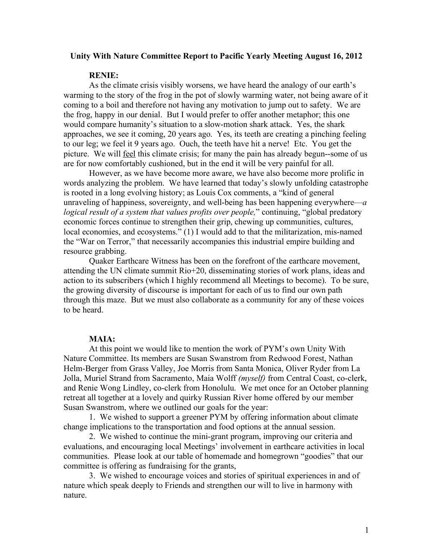## **Unity With Nature Committee Report to Pacific Yearly Meeting August 16, 2012**

## **RENIE:**

As the climate crisis visibly worsens, we have heard the analogy of our earth's warming to the story of the frog in the pot of slowly warming water, not being aware of it coming to a boil and therefore not having any motivation to jump out to safety. We are the frog, happy in our denial. But I would prefer to offer another metaphor; this one would compare humanity's situation to a slow-motion shark attack. Yes, the shark approaches, we see it coming, 20 years ago. Yes, its teeth are creating a pinching feeling to our leg; we feel it 9 years ago. Ouch, the teeth have hit a nerve! Etc. You get the picture. We will feel this climate crisis; for many the pain has already begun--some of us are for now comfortably cushioned, but in the end it will be very painful for all.

However, as we have become more aware, we have also become more prolific in words analyzing the problem. We have learned that today's slowly unfolding catastrophe is rooted in a long evolving history; as Louis Cox comments, a "kind of general unraveling of happiness, sovereignty, and well-being has been happening everywhere—*a logical result of a system that values profits over people,*" continuing, "global predatory economic forces continue to strengthen their grip, chewing up communities, cultures, local economies, and ecosystems." (1) I would add to that the militarization, mis-named the "War on Terror," that necessarily accompanies this industrial empire building and resource grabbing.

Quaker Earthcare Witness has been on the forefront of the earthcare movement, attending the UN climate summit Rio+20, disseminating stories of work plans, ideas and action to its subscribers (which I highly recommend all Meetings to become). To be sure, the growing diversity of discourse is important for each of us to find our own path through this maze. But we must also collaborate as a community for any of these voices to be heard.

## **MAIA:**

At this point we would like to mention the work of PYM's own Unity With Nature Committee. Its members are Susan Swanstrom from Redwood Forest, Nathan Helm-Berger from Grass Valley, Joe Morris from Santa Monica, Oliver Ryder from La Jolla, Muriel Strand from Sacramento, Maia Wolff *(myself)* from Central Coast, co-clerk, and Renie Wong Lindley, co-clerk from Honolulu. We met once for an October planning retreat all together at a lovely and quirky Russian River home offered by our member Susan Swanstrom, where we outlined our goals for the year:

1. We wished to support a greener PYM by offering information about climate change implications to the transportation and food options at the annual session.

2. We wished to continue the mini-grant program, improving our criteria and evaluations, and encouraging local Meetings' involvement in earthcare activities in local communities. Please look at our table of homemade and homegrown "goodies" that our committee is offering as fundraising for the grants,

3. We wished to encourage voices and stories of spiritual experiences in and of nature which speak deeply to Friends and strengthen our will to live in harmony with nature.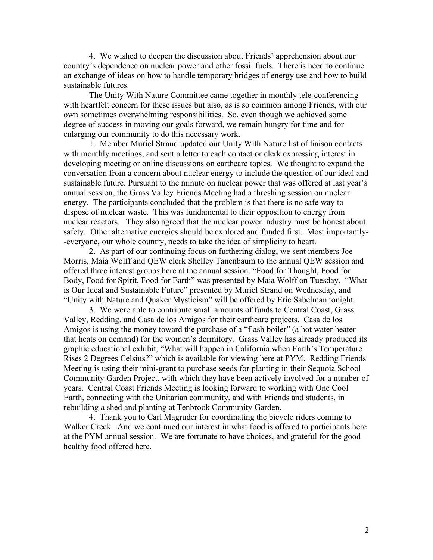4. We wished to deepen the discussion about Friends' apprehension about our country's dependence on nuclear power and other fossil fuels. There is need to continue an exchange of ideas on how to handle temporary bridges of energy use and how to build sustainable futures.

The Unity With Nature Committee came together in monthly tele-conferencing with heartfelt concern for these issues but also, as is so common among Friends, with our own sometimes overwhelming responsibilities. So, even though we achieved some degree of success in moving our goals forward, we remain hungry for time and for enlarging our community to do this necessary work.

1. Member Muriel Strand updated our Unity With Nature list of liaison contacts with monthly meetings, and sent a letter to each contact or clerk expressing interest in developing meeting or online discussions on earthcare topics. We thought to expand the conversation from a concern about nuclear energy to include the question of our ideal and sustainable future. Pursuant to the minute on nuclear power that was offered at last year's annual session, the Grass Valley Friends Meeting had a threshing session on nuclear energy. The participants concluded that the problem is that there is no safe way to dispose of nuclear waste. This was fundamental to their opposition to energy from nuclear reactors. They also agreed that the nuclear power industry must be honest about safety. Other alternative energies should be explored and funded first. Most importantly- -everyone, our whole country, needs to take the idea of simplicity to heart.

2. As part of our continuing focus on furthering dialog, we sent members Joe Morris, Maia Wolff and QEW clerk Shelley Tanenbaum to the annual QEW session and offered three interest groups here at the annual session. "Food for Thought, Food for Body, Food for Spirit, Food for Earth" was presented by Maia Wolff on Tuesday, "What is Our Ideal and Sustainable Future" presented by Muriel Strand on Wednesday, and "Unity with Nature and Quaker Mysticism" will be offered by Eric Sabelman tonight.

3. We were able to contribute small amounts of funds to Central Coast, Grass Valley, Redding, and Casa de los Amigos for their earthcare projects. Casa de los Amigos is using the money toward the purchase of a "flash boiler" (a hot water heater that heats on demand) for the women's dormitory. Grass Valley has already produced its graphic educational exhibit, "What will happen in California when Earth's Temperature Rises 2 Degrees Celsius?" which is available for viewing here at PYM. Redding Friends Meeting is using their mini-grant to purchase seeds for planting in their Sequoia School Community Garden Project, with which they have been actively involved for a number of years. Central Coast Friends Meeting is looking forward to working with One Cool Earth, connecting with the Unitarian community, and with Friends and students, in rebuilding a shed and planting at Tenbrook Community Garden.

4. Thank you to Carl Magruder for coordinating the bicycle riders coming to Walker Creek. And we continued our interest in what food is offered to participants here at the PYM annual session. We are fortunate to have choices, and grateful for the good healthy food offered here.